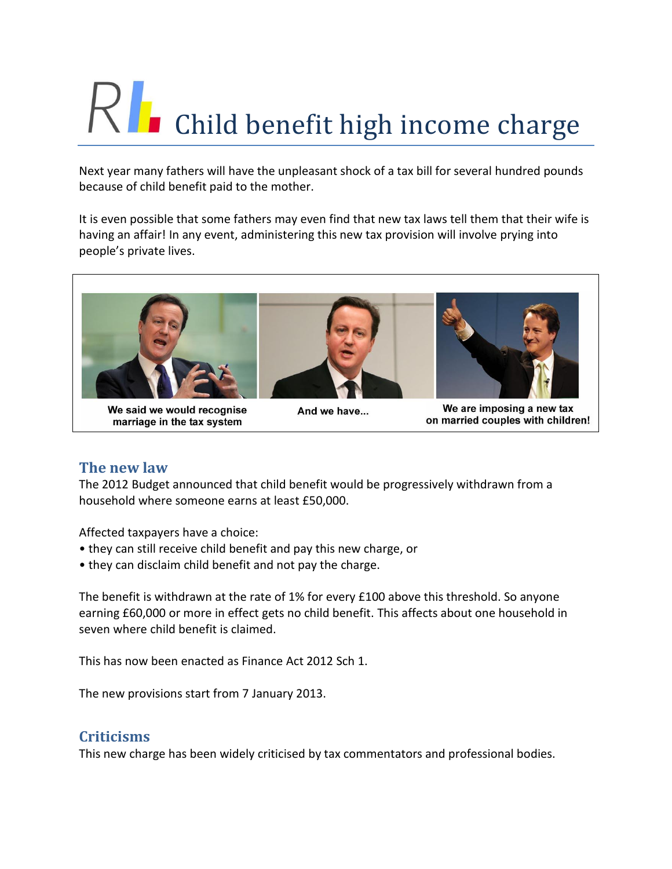# $\left\{\right|$  Child benefit high income charge

Next year many fathers will have the unpleasant shock of a tax bill for several hundred pounds because of child benefit paid to the mother.

It is even possible that some fathers may even find that new tax laws tell them that their wife is having an affair! In any event, administering this new tax provision will involve prying into people's private lives.



We are imposing a new tax on married couples with children!

# **The new law**

The 2012 Budget announced that child benefit would be progressively withdrawn from a household where someone earns at least £50,000.

Affected taxpayers have a choice:

marriage in the tax system

- they can still receive child benefit and pay this new charge, or
- they can disclaim child benefit and not pay the charge.

The benefit is withdrawn at the rate of 1% for every £100 above this threshold. So anyone earning £60,000 or more in effect gets no child benefit. This affects about one household in seven where child benefit is claimed.

This has now been enacted as Finance Act 2012 Sch 1.

The new provisions start from 7 January 2013.

# **Criticisms**

This new charge has been widely criticised by tax commentators and professional bodies.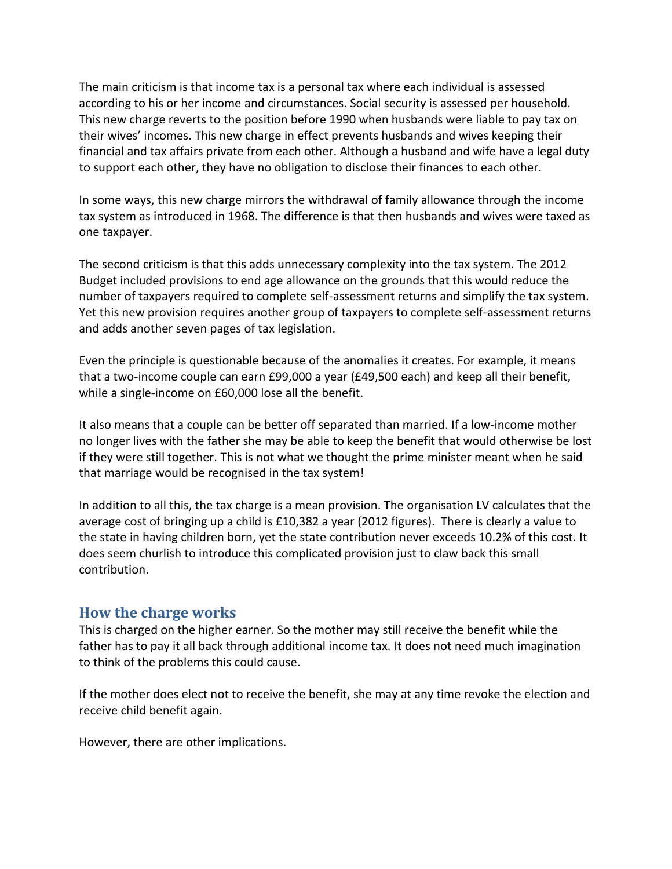The main criticism is that income tax is a personal tax where each individual is assessed according to his or her income and circumstances. Social security is assessed per household. This new charge reverts to the position before 1990 when husbands were liable to pay tax on their wives' incomes. This new charge in effect prevents husbands and wives keeping their financial and tax affairs private from each other. Although a husband and wife have a legal duty to support each other, they have no obligation to disclose their finances to each other.

In some ways, this new charge mirrors the withdrawal of family allowance through the income tax system as introduced in 1968. The difference is that then husbands and wives were taxed as one taxpayer.

The second criticism is that this adds unnecessary complexity into the tax system. The 2012 Budget included provisions to end age allowance on the grounds that this would reduce the number of taxpayers required to complete self-assessment returns and simplify the tax system. Yet this new provision requires another group of taxpayers to complete self-assessment returns and adds another seven pages of tax legislation.

Even the principle is questionable because of the anomalies it creates. For example, it means that a two-income couple can earn £99,000 a year (£49,500 each) and keep all their benefit, while a single-income on £60,000 lose all the benefit.

It also means that a couple can be better off separated than married. If a low-income mother no longer lives with the father she may be able to keep the benefit that would otherwise be lost if they were still together. This is not what we thought the prime minister meant when he said that marriage would be recognised in the tax system!

In addition to all this, the tax charge is a mean provision. The organisation LV calculates that the average cost of bringing up a child is £10,382 a year (2012 figures). There is clearly a value to the state in having children born, yet the state contribution never exceeds 10.2% of this cost. It does seem churlish to introduce this complicated provision just to claw back this small contribution.

#### **How the charge works**

This is charged on the higher earner. So the mother may still receive the benefit while the father has to pay it all back through additional income tax. It does not need much imagination to think of the problems this could cause.

If the mother does elect not to receive the benefit, she may at any time revoke the election and receive child benefit again.

However, there are other implications.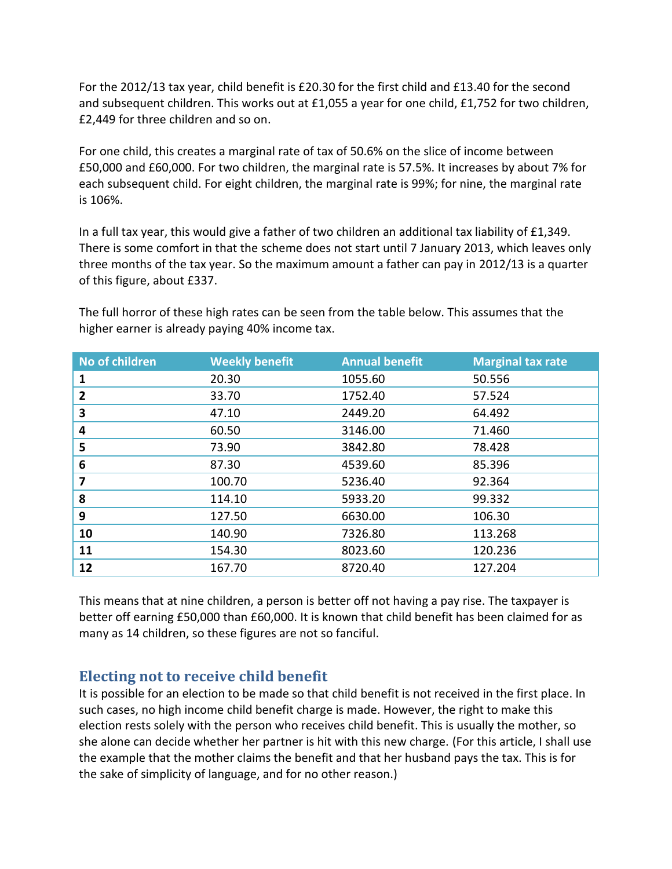For the 2012/13 tax year, child benefit is £20.30 for the first child and £13.40 for the second and subsequent children. This works out at £1,055 a year for one child, £1,752 for two children, £2,449 for three children and so on.

For one child, this creates a marginal rate of tax of 50.6% on the slice of income between £50,000 and £60,000. For two children, the marginal rate is 57.5%. It increases by about 7% for each subsequent child. For eight children, the marginal rate is 99%; for nine, the marginal rate is 106%.

In a full tax year, this would give a father of two children an additional tax liability of £1,349. There is some comfort in that the scheme does not start until 7 January 2013, which leaves only three months of the tax year. So the maximum amount a father can pay in 2012/13 is a quarter of this figure, about £337.

| No of children | <b>Weekly benefit</b> | <b>Annual benefit</b> | <b>Marginal tax rate</b> |
|----------------|-----------------------|-----------------------|--------------------------|
| 1              | 20.30                 | 1055.60               | 50.556                   |
| 2              | 33.70                 | 1752.40               | 57.524                   |
| 3              | 47.10                 | 2449.20               | 64.492                   |
| 4              | 60.50                 | 3146.00               | 71.460                   |
| 5              | 73.90                 | 3842.80               | 78.428                   |
| 6              | 87.30                 | 4539.60               | 85.396                   |
| 7              | 100.70                | 5236.40               | 92.364                   |
| 8              | 114.10                | 5933.20               | 99.332                   |
| 9              | 127.50                | 6630.00               | 106.30                   |
| 10             | 140.90                | 7326.80               | 113.268                  |
| 11             | 154.30                | 8023.60               | 120.236                  |
| 12             | 167.70                | 8720.40               | 127.204                  |

The full horror of these high rates can be seen from the table below. This assumes that the higher earner is already paying 40% income tax.

This means that at nine children, a person is better off not having a pay rise. The taxpayer is better off earning £50,000 than £60,000. It is known that child benefit has been claimed for as many as 14 children, so these figures are not so fanciful.

# **Electing not to receive child benefit**

It is possible for an election to be made so that child benefit is not received in the first place. In such cases, no high income child benefit charge is made. However, the right to make this election rests solely with the person who receives child benefit. This is usually the mother, so she alone can decide whether her partner is hit with this new charge. (For this article, I shall use the example that the mother claims the benefit and that her husband pays the tax. This is for the sake of simplicity of language, and for no other reason.)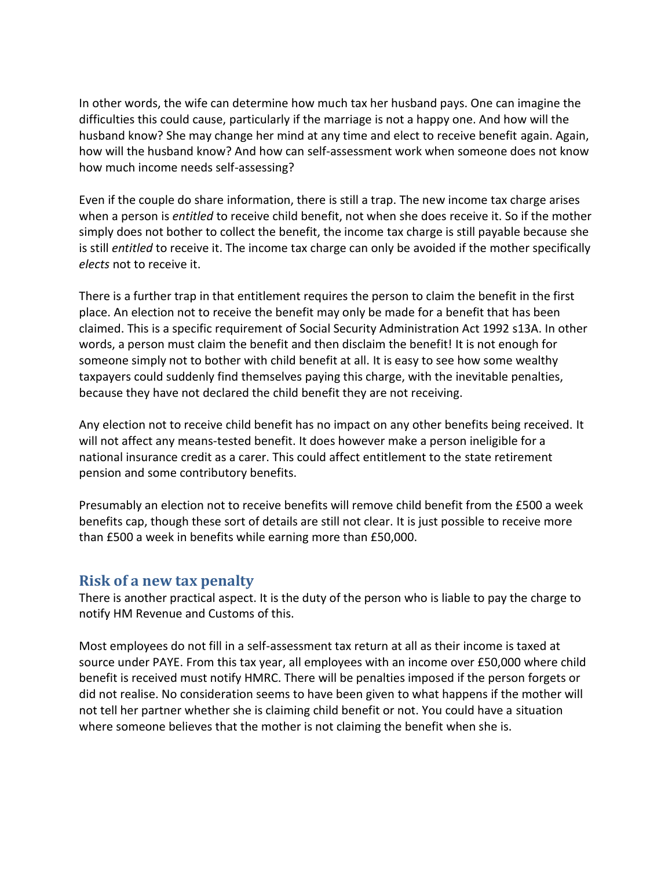In other words, the wife can determine how much tax her husband pays. One can imagine the difficulties this could cause, particularly if the marriage is not a happy one. And how will the husband know? She may change her mind at any time and elect to receive benefit again. Again, how will the husband know? And how can self-assessment work when someone does not know how much income needs self-assessing?

Even if the couple do share information, there is still a trap. The new income tax charge arises when a person is *entitled* to receive child benefit, not when she does receive it. So if the mother simply does not bother to collect the benefit, the income tax charge is still payable because she is still *entitled* to receive it. The income tax charge can only be avoided if the mother specifically *elects* not to receive it.

There is a further trap in that entitlement requires the person to claim the benefit in the first place. An election not to receive the benefit may only be made for a benefit that has been claimed. This is a specific requirement of Social Security Administration Act 1992 s13A. In other words, a person must claim the benefit and then disclaim the benefit! It is not enough for someone simply not to bother with child benefit at all. It is easy to see how some wealthy taxpayers could suddenly find themselves paying this charge, with the inevitable penalties, because they have not declared the child benefit they are not receiving.

Any election not to receive child benefit has no impact on any other benefits being received. It will not affect any means-tested benefit. It does however make a person ineligible for a national insurance credit as a carer. This could affect entitlement to the state retirement pension and some contributory benefits.

Presumably an election not to receive benefits will remove child benefit from the £500 a week benefits cap, though these sort of details are still not clear. It is just possible to receive more than £500 a week in benefits while earning more than £50,000.

#### **Risk of a new tax penalty**

There is another practical aspect. It is the duty of the person who is liable to pay the charge to notify HM Revenue and Customs of this.

Most employees do not fill in a self-assessment tax return at all as their income is taxed at source under PAYE. From this tax year, all employees with an income over £50,000 where child benefit is received must notify HMRC. There will be penalties imposed if the person forgets or did not realise. No consideration seems to have been given to what happens if the mother will not tell her partner whether she is claiming child benefit or not. You could have a situation where someone believes that the mother is not claiming the benefit when she is.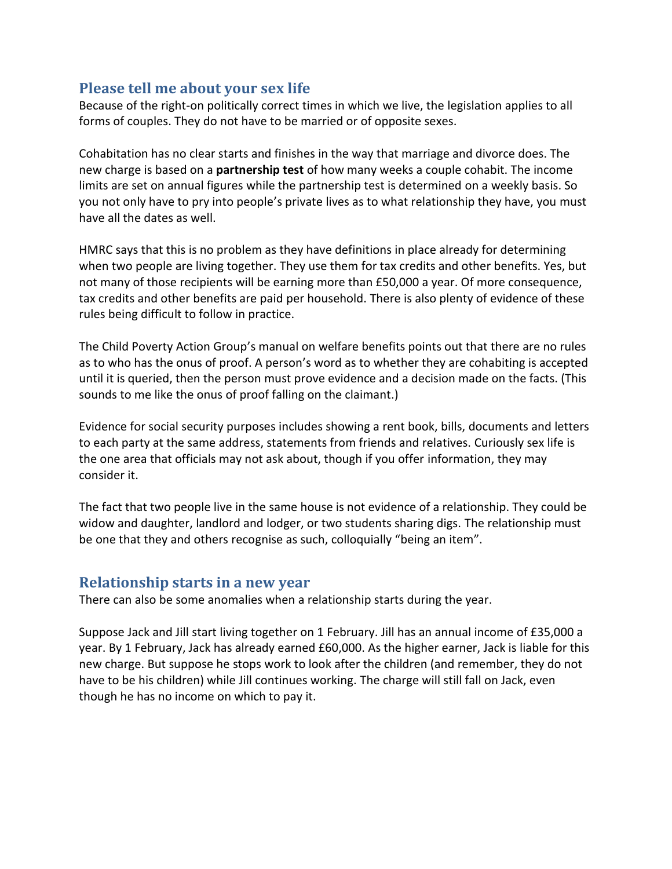### **Please tell me about your sex life**

Because of the right-on politically correct times in which we live, the legislation applies to all forms of couples. They do not have to be married or of opposite sexes.

Cohabitation has no clear starts and finishes in the way that marriage and divorce does. The new charge is based on a **partnership test** of how many weeks a couple cohabit. The income limits are set on annual figures while the partnership test is determined on a weekly basis. So you not only have to pry into people's private lives as to what relationship they have, you must have all the dates as well.

HMRC says that this is no problem as they have definitions in place already for determining when two people are living together. They use them for tax credits and other benefits. Yes, but not many of those recipients will be earning more than £50,000 a year. Of more consequence, tax credits and other benefits are paid per household. There is also plenty of evidence of these rules being difficult to follow in practice.

The Child Poverty Action Group's manual on welfare benefits points out that there are no rules as to who has the onus of proof. A person's word as to whether they are cohabiting is accepted until it is queried, then the person must prove evidence and a decision made on the facts. (This sounds to me like the onus of proof falling on the claimant.)

Evidence for social security purposes includes showing a rent book, bills, documents and letters to each party at the same address, statements from friends and relatives. Curiously sex life is the one area that officials may not ask about, though if you offer information, they may consider it.

The fact that two people live in the same house is not evidence of a relationship. They could be widow and daughter, landlord and lodger, or two students sharing digs. The relationship must be one that they and others recognise as such, colloquially "being an item".

#### **Relationship starts in a new year**

There can also be some anomalies when a relationship starts during the year.

Suppose Jack and Jill start living together on 1 February. Jill has an annual income of £35,000 a year. By 1 February, Jack has already earned £60,000. As the higher earner, Jack is liable for this new charge. But suppose he stops work to look after the children (and remember, they do not have to be his children) while Jill continues working. The charge will still fall on Jack, even though he has no income on which to pay it.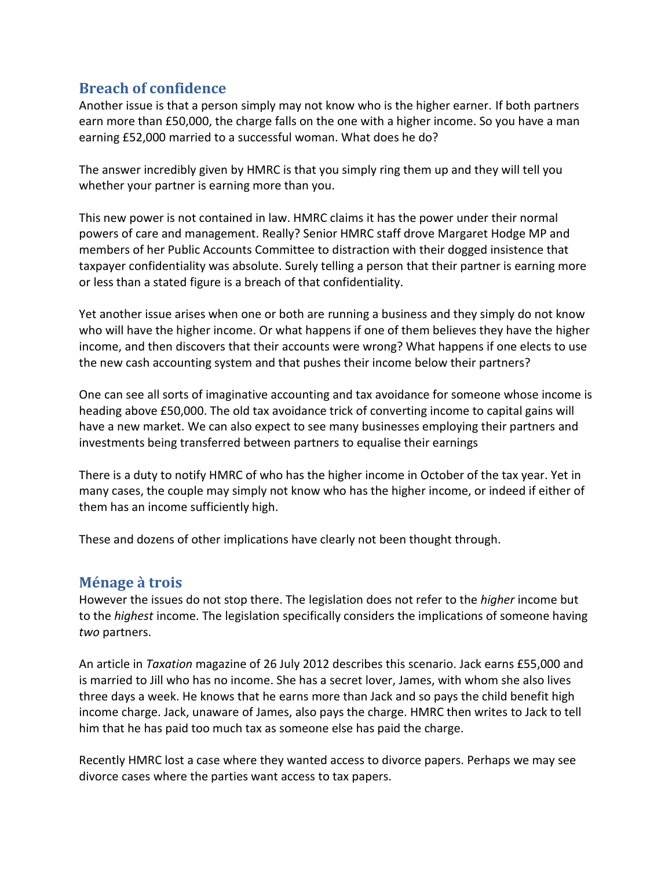## **Breach of confidence**

Another issue is that a person simply may not know who is the higher earner. If both partners earn more than £50,000, the charge falls on the one with a higher income. So you have a man earning £52,000 married to a successful woman. What does he do?

The answer incredibly given by HMRC is that you simply ring them up and they will tell you whether your partner is earning more than you.

This new power is not contained in law. HMRC claims it has the power under their normal powers of care and management. Really? Senior HMRC staff drove Margaret Hodge MP and members of her Public Accounts Committee to distraction with their dogged insistence that taxpayer confidentiality was absolute. Surely telling a person that their partner is earning more or less than a stated figure is a breach of that confidentiality.

Yet another issue arises when one or both are running a business and they simply do not know who will have the higher income. Or what happens if one of them believes they have the higher income, and then discovers that their accounts were wrong? What happens if one elects to use the new cash accounting system and that pushes their income below their partners?

One can see all sorts of imaginative accounting and tax avoidance for someone whose income is heading above £50,000. The old tax avoidance trick of converting income to capital gains will have a new market. We can also expect to see many businesses employing their partners and investments being transferred between partners to equalise their earnings

There is a duty to notify HMRC of who has the higher income in October of the tax year. Yet in many cases, the couple may simply not know who has the higher income, or indeed if either of them has an income sufficiently high.

These and dozens of other implications have clearly not been thought through.

#### **Ménage à trois**

However the issues do not stop there. The legislation does not refer to the *higher* income but to the *highest* income. The legislation specifically considers the implications of someone having *two* partners.

An article in *Taxation* magazine of 26 July 2012 describes this scenario. Jack earns £55,000 and is married to Jill who has no income. She has a secret lover, James, with whom she also lives three days a week. He knows that he earns more than Jack and so pays the child benefit high income charge. Jack, unaware of James, also pays the charge. HMRC then writes to Jack to tell him that he has paid too much tax as someone else has paid the charge.

Recently HMRC lost a case where they wanted access to divorce papers. Perhaps we may see divorce cases where the parties want access to tax papers.